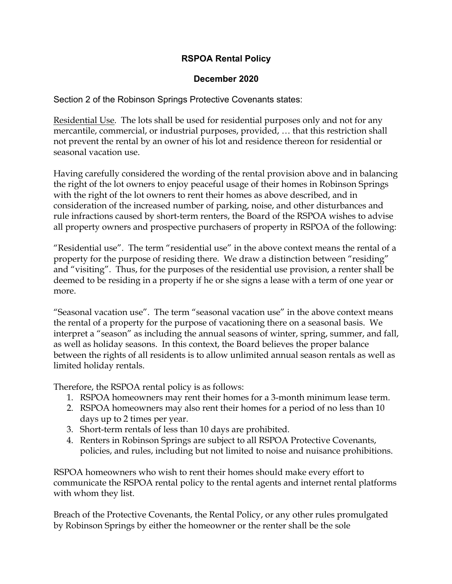## **RSPOA Rental Policy**

## **December 2020**

Section 2 of the Robinson Springs Protective Covenants states:

Residential Use. The lots shall be used for residential purposes only and not for any mercantile, commercial, or industrial purposes, provided, … that this restriction shall not prevent the rental by an owner of his lot and residence thereon for residential or seasonal vacation use.

Having carefully considered the wording of the rental provision above and in balancing the right of the lot owners to enjoy peaceful usage of their homes in Robinson Springs with the right of the lot owners to rent their homes as above described, and in consideration of the increased number of parking, noise, and other disturbances and rule infractions caused by short-term renters, the Board of the RSPOA wishes to advise all property owners and prospective purchasers of property in RSPOA of the following:

"Residential use". The term "residential use" in the above context means the rental of a property for the purpose of residing there. We draw a distinction between "residing" and "visiting". Thus, for the purposes of the residential use provision, a renter shall be deemed to be residing in a property if he or she signs a lease with a term of one year or more.

"Seasonal vacation use". The term "seasonal vacation use" in the above context means the rental of a property for the purpose of vacationing there on a seasonal basis. We interpret a "season" as including the annual seasons of winter, spring, summer, and fall, as well as holiday seasons. In this context, the Board believes the proper balance between the rights of all residents is to allow unlimited annual season rentals as well as limited holiday rentals.

Therefore, the RSPOA rental policy is as follows:

- 1. RSPOA homeowners may rent their homes for a 3-month minimum lease term.
- 2. RSPOA homeowners may also rent their homes for a period of no less than 10 days up to 2 times per year.
- 3. Short-term rentals of less than 10 days are prohibited.
- 4. Renters in Robinson Springs are subject to all RSPOA Protective Covenants, policies, and rules, including but not limited to noise and nuisance prohibitions.

RSPOA homeowners who wish to rent their homes should make every effort to communicate the RSPOA rental policy to the rental agents and internet rental platforms with whom they list.

Breach of the Protective Covenants, the Rental Policy, or any other rules promulgated by Robinson Springs by either the homeowner or the renter shall be the sole